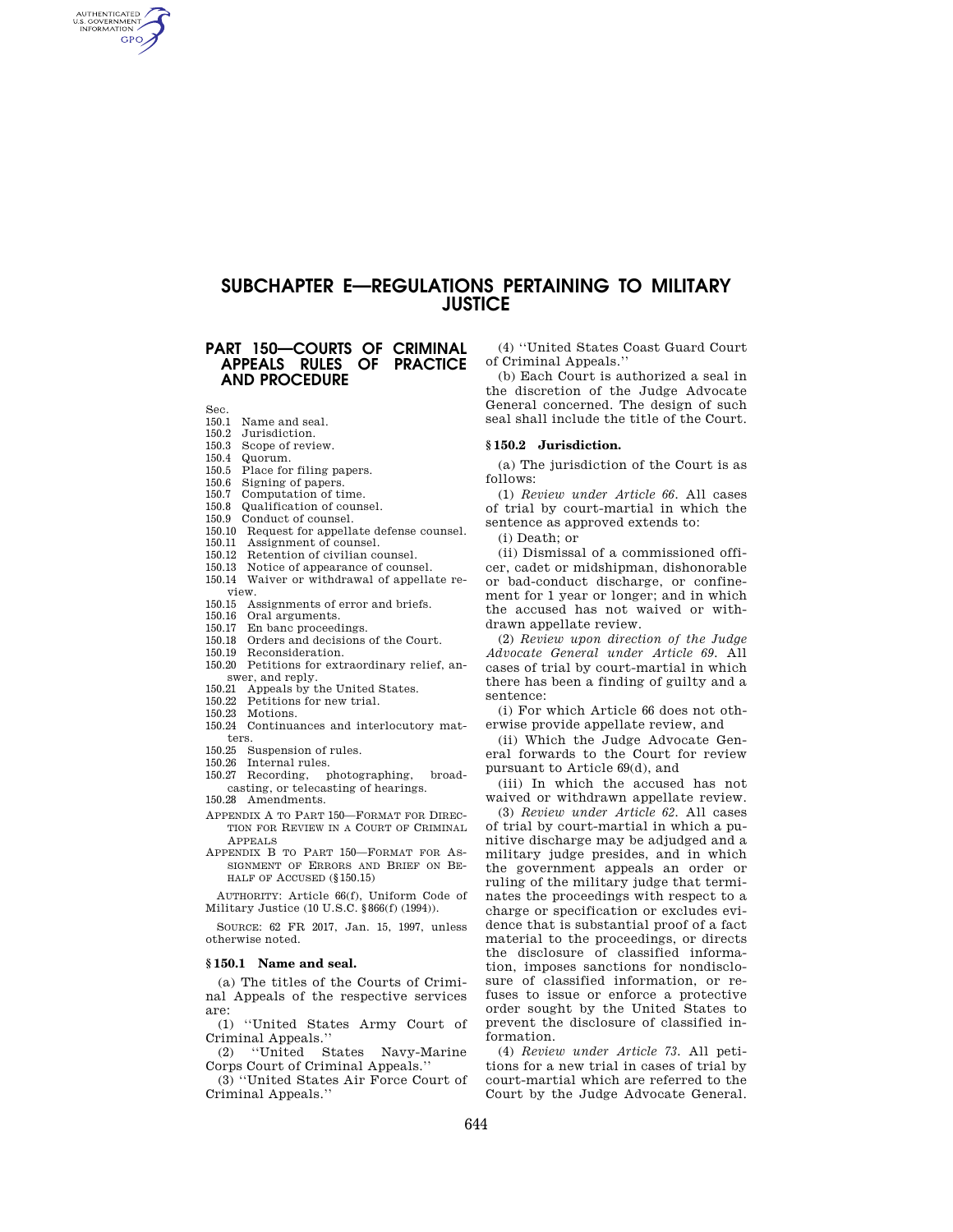# **SUBCHAPTER E—REGULATIONS PERTAINING TO MILITARY JUSTICE**

# **PART 150—COURTS OF CRIMINAL APPEALS RULES OF PRACTICE AND PROCEDURE**

Sec.

AUTHENTICATED<br>U.S. GOVERNMENT<br>INFORMATION **GPO** 

- 150.1 Name and seal.<br>150.2 Jurisdiction
- Jurisdiction.
- 150.3 Scope of review.<br>150.4 Quorum.
- Quorum.
- 150.5 Place for filing papers.
- 150.6 Signing of papers.
- 150.7 Computation of time.
- 150.8 Qualification of counsel.
- 150.9 Conduct of counsel.
- 150.10 Request for appellate defense counsel.
- 150.11 Assignment of counsel.
- 150.12 Retention of civilian counsel.
- 150.13 Notice of appearance of counsel.
- 150.14 Waiver or withdrawal of appellate review.
- 150.15 Assignments of error and briefs.
- 150.16 Oral arguments.
- 150.17 En banc proceedings.<br>150.18 Orders and decisions
- Orders and decisions of the Court.
- 150.19 Reconsideration.
- 150.20 Petitions for extraordinary relief, answer, and reply.
- 150.21 Appeals by the United States.
- 150.22 Petitions for new trial.
- 150.23 Motions.
- 150.24 Continuances and interlocutory matters.
- 150.25 Suspension of rules.
- 150.26 Internal rules.
- 150.27 Recording, photographing, broadcasting, or telecasting of hearings. 150.28 Amendments.
- APPENDIX A TO PART 150—FORMAT FOR DIREC-TION FOR REVIEW IN A COURT OF CRIMINAL
- APPEALS APPENDIX B TO PART 150—FORMAT FOR AS-SIGNMENT OF ERRORS AND BRIEF ON BE-HALF OF ACCUSED (§150.15)
- AUTHORITY: Article 66(f), Uniform Code of Military Justice (10 U.S.C. §866(f) (1994)).

SOURCE: 62 FR 2017, Jan. 15, 1997, unless otherwise noted.

# **§ 150.1 Name and seal.**

(a) The titles of the Courts of Criminal Appeals of the respective services are:

(1) ''United States Army Court of Criminal Appeals.''

(2) ''United States Navy-Marine Corps Court of Criminal Appeals.''

(3) ''United States Air Force Court of Criminal Appeals.''

(4) ''United States Coast Guard Court of Criminal Appeals.''

(b) Each Court is authorized a seal in the discretion of the Judge Advocate General concerned. The design of such seal shall include the title of the Court.

# **§ 150.2 Jurisdiction.**

(a) The jurisdiction of the Court is as follows:

(1) *Review under Article 66.* All cases of trial by court-martial in which the sentence as approved extends to:

(i) Death; or

(ii) Dismissal of a commissioned officer, cadet or midshipman, dishonorable or bad-conduct discharge, or confinement for 1 year or longer; and in which the accused has not waived or withdrawn appellate review.

(2) *Review upon direction of the Judge Advocate General under Article 69.* All cases of trial by court-martial in which there has been a finding of guilty and a sentence:

(i) For which Article 66 does not otherwise provide appellate review, and

(ii) Which the Judge Advocate General forwards to the Court for review pursuant to Article 69(d), and

(iii) In which the accused has not waived or withdrawn appellate review.

(3) *Review under Article 62.* All cases of trial by court-martial in which a punitive discharge may be adjudged and a military judge presides, and in which the government appeals an order or ruling of the military judge that terminates the proceedings with respect to a charge or specification or excludes evidence that is substantial proof of a fact material to the proceedings, or directs the disclosure of classified information, imposes sanctions for nondisclosure of classified information, or refuses to issue or enforce a protective order sought by the United States to prevent the disclosure of classified information.

(4) *Review under Article 73.* All petitions for a new trial in cases of trial by court-martial which are referred to the Court by the Judge Advocate General.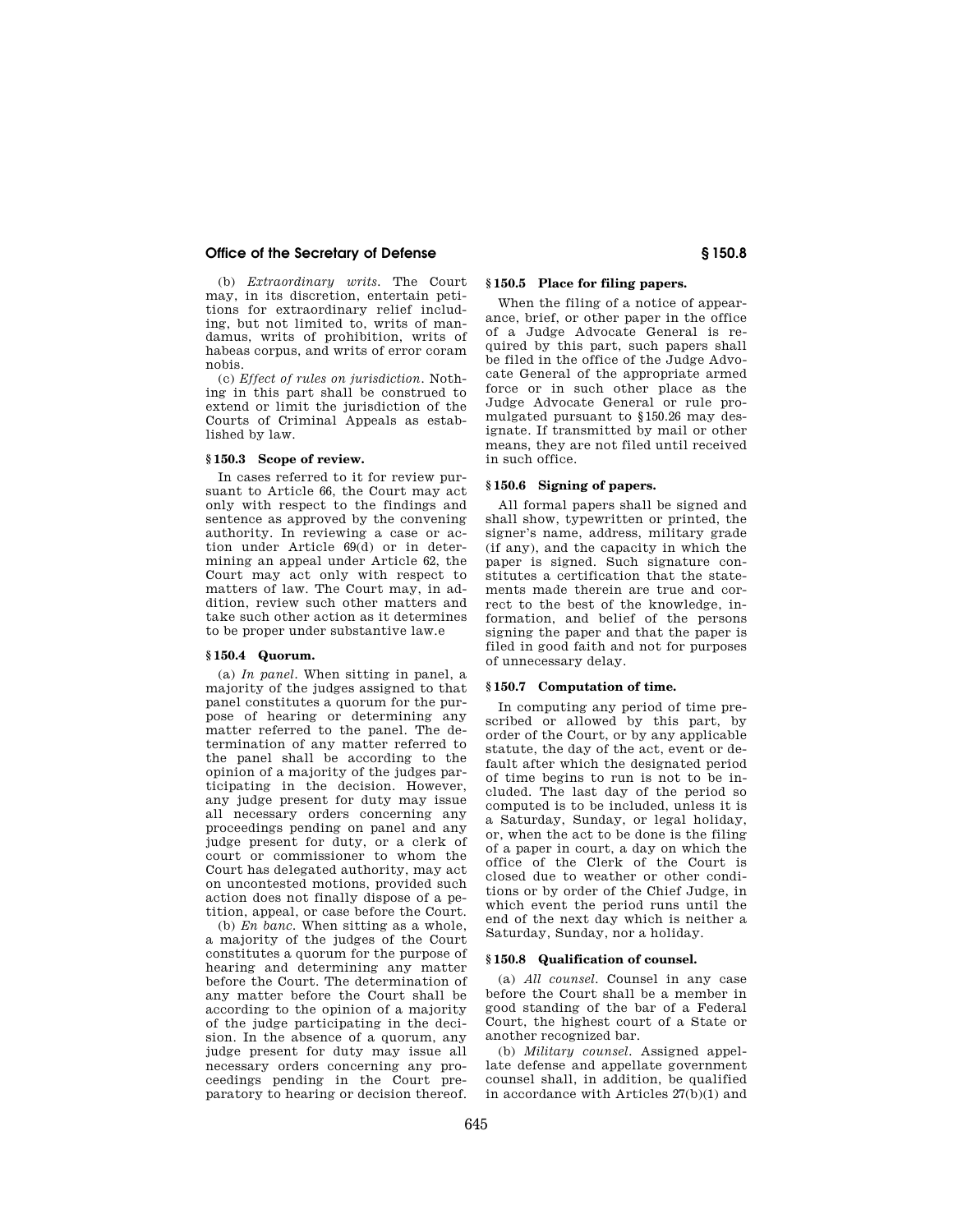# **Office of the Secretary of Defense § 150.8**

(b) *Extraordinary writs.* The Court may, in its discretion, entertain petitions for extraordinary relief including, but not limited to, writs of mandamus, writs of prohibition, writs of habeas corpus, and writs of error coram nobis.

(c) *Effect of rules on jurisdiction.* Nothing in this part shall be construed to extend or limit the jurisdiction of the Courts of Criminal Appeals as established by law.

# **§ 150.3 Scope of review.**

In cases referred to it for review pursuant to Article 66, the Court may act only with respect to the findings and sentence as approved by the convening authority. In reviewing a case or action under Article 69(d) or in determining an appeal under Article 62, the Court may act only with respect to matters of law. The Court may, in addition, review such other matters and take such other action as it determines to be proper under substantive law.e

# **§ 150.4 Quorum.**

(a) *In panel.* When sitting in panel, a majority of the judges assigned to that panel constitutes a quorum for the purpose of hearing or determining any matter referred to the panel. The determination of any matter referred to the panel shall be according to the opinion of a majority of the judges participating in the decision. However, any judge present for duty may issue all necessary orders concerning any proceedings pending on panel and any judge present for duty, or a clerk of court or commissioner to whom the Court has delegated authority, may act on uncontested motions, provided such action does not finally dispose of a petition, appeal, or case before the Court.

(b) *En banc.* When sitting as a whole, a majority of the judges of the Court constitutes a quorum for the purpose of hearing and determining any matter before the Court. The determination of any matter before the Court shall be according to the opinion of a majority of the judge participating in the decision. In the absence of a quorum, any judge present for duty may issue all necessary orders concerning any proceedings pending in the Court preparatory to hearing or decision thereof.

# **§ 150.5 Place for filing papers.**

When the filing of a notice of appearance, brief, or other paper in the office of a Judge Advocate General is required by this part, such papers shall be filed in the office of the Judge Advocate General of the appropriate armed force or in such other place as the Judge Advocate General or rule promulgated pursuant to §150.26 may designate. If transmitted by mail or other means, they are not filed until received in such office.

# **§ 150.6 Signing of papers.**

All formal papers shall be signed and shall show, typewritten or printed, the signer's name, address, military grade (if any), and the capacity in which the paper is signed. Such signature constitutes a certification that the statements made therein are true and correct to the best of the knowledge, information, and belief of the persons signing the paper and that the paper is filed in good faith and not for purposes of unnecessary delay.

# **§ 150.7 Computation of time.**

In computing any period of time prescribed or allowed by this part, by order of the Court, or by any applicable statute, the day of the act, event or default after which the designated period of time begins to run is not to be included. The last day of the period so computed is to be included, unless it is a Saturday, Sunday, or legal holiday, or, when the act to be done is the filing of a paper in court, a day on which the office of the Clerk of the Court is closed due to weather or other conditions or by order of the Chief Judge, in which event the period runs until the end of the next day which is neither a Saturday, Sunday, nor a holiday.

#### **§ 150.8 Qualification of counsel.**

(a) *All counsel.* Counsel in any case before the Court shall be a member in good standing of the bar of a Federal Court, the highest court of a State or another recognized bar.

(b) *Military counsel.* Assigned appellate defense and appellate government counsel shall, in addition, be qualified in accordance with Articles  $27(b)(1)$  and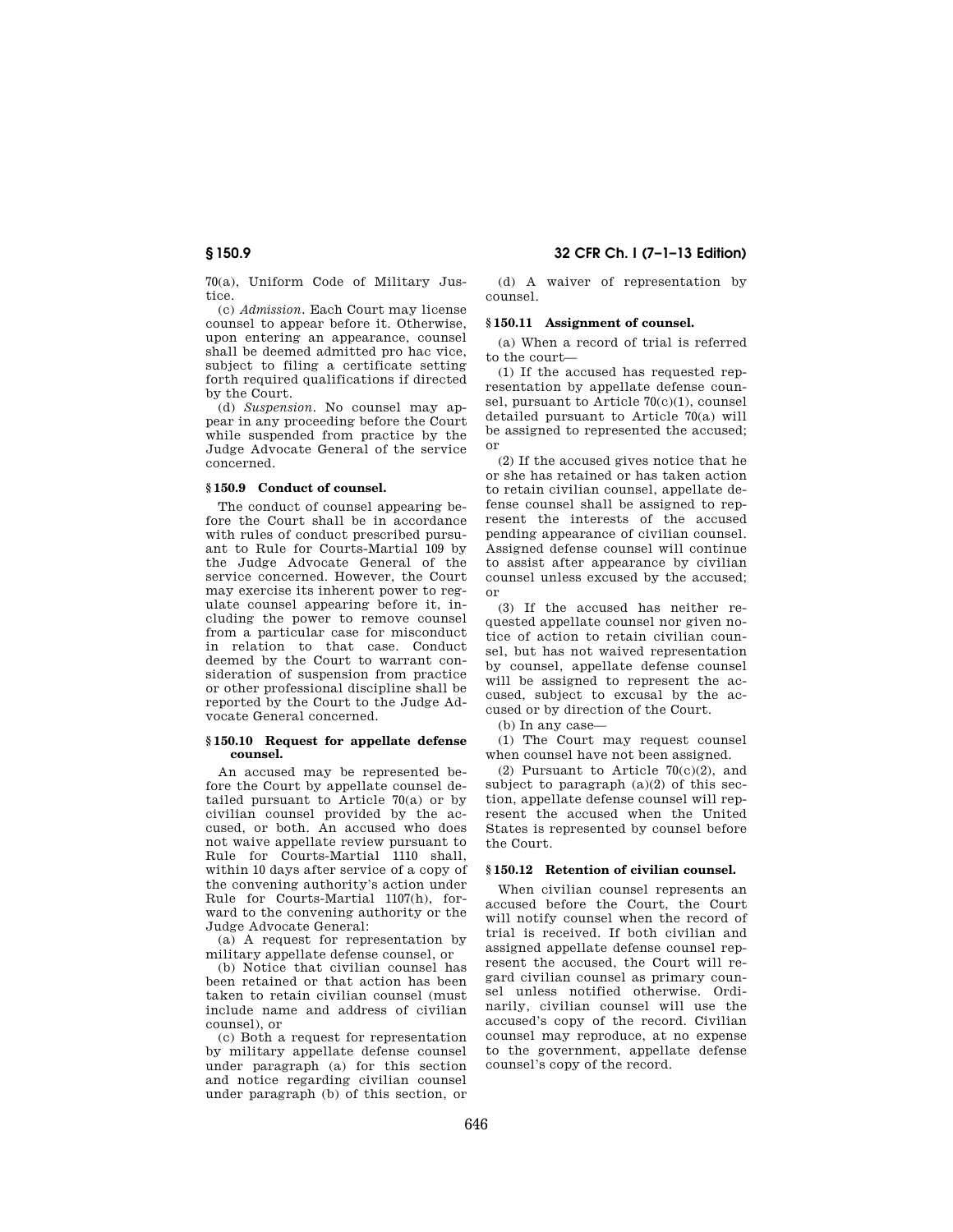70(a), Uniform Code of Military Justice.

(c) *Admission.* Each Court may license counsel to appear before it. Otherwise, upon entering an appearance, counsel shall be deemed admitted pro hac vice, subject to filing a certificate setting forth required qualifications if directed by the Court.

(d) *Suspension.* No counsel may appear in any proceeding before the Court while suspended from practice by the Judge Advocate General of the service concerned.

# **§ 150.9 Conduct of counsel.**

The conduct of counsel appearing before the Court shall be in accordance with rules of conduct prescribed pursuant to Rule for Courts-Martial 109 by the Judge Advocate General of the service concerned. However, the Court may exercise its inherent power to regulate counsel appearing before it, including the power to remove counsel from a particular case for misconduct in relation to that case. Conduct deemed by the Court to warrant consideration of suspension from practice or other professional discipline shall be reported by the Court to the Judge Advocate General concerned.

# **§ 150.10 Request for appellate defense counsel.**

An accused may be represented before the Court by appellate counsel detailed pursuant to Article 70(a) or by civilian counsel provided by the accused, or both. An accused who does not waive appellate review pursuant to Rule for Courts-Martial 1110 shall, within 10 days after service of a copy of the convening authority's action under Rule for Courts-Martial 1107(h), forward to the convening authority or the Judge Advocate General:

(a) A request for representation by military appellate defense counsel, or

(b) Notice that civilian counsel has been retained or that action has been taken to retain civilian counsel (must include name and address of civilian counsel), or

(c) Both a request for representation by military appellate defense counsel under paragraph (a) for this section and notice regarding civilian counsel under paragraph (b) of this section, or

(d) A waiver of representation by counsel.

# **§ 150.11 Assignment of counsel.**

(a) When a record of trial is referred to the court—

(1) If the accused has requested representation by appellate defense counsel, pursuant to Article 70(c)(1), counsel detailed pursuant to Article 70(a) will be assigned to represented the accused; or

(2) If the accused gives notice that he or she has retained or has taken action to retain civilian counsel, appellate defense counsel shall be assigned to represent the interests of the accused pending appearance of civilian counsel. Assigned defense counsel will continue to assist after appearance by civilian counsel unless excused by the accused; or

(3) If the accused has neither requested appellate counsel nor given notice of action to retain civilian counsel, but has not waived representation by counsel, appellate defense counsel will be assigned to represent the accused, subject to excusal by the accused or by direction of the Court.

(b) In any case—

(1) The Court may request counsel when counsel have not been assigned.

(2) Pursuant to Article 70(c)(2), and subject to paragraph  $(a)(2)$  of this section, appellate defense counsel will represent the accused when the United States is represented by counsel before the Court.

# **§ 150.12 Retention of civilian counsel.**

When civilian counsel represents an accused before the Court, the Court will notify counsel when the record of trial is received. If both civilian and assigned appellate defense counsel represent the accused, the Court will regard civilian counsel as primary counsel unless notified otherwise. Ordinarily, civilian counsel will use the accused's copy of the record. Civilian counsel may reproduce, at no expense to the government, appellate defense counsel's copy of the record.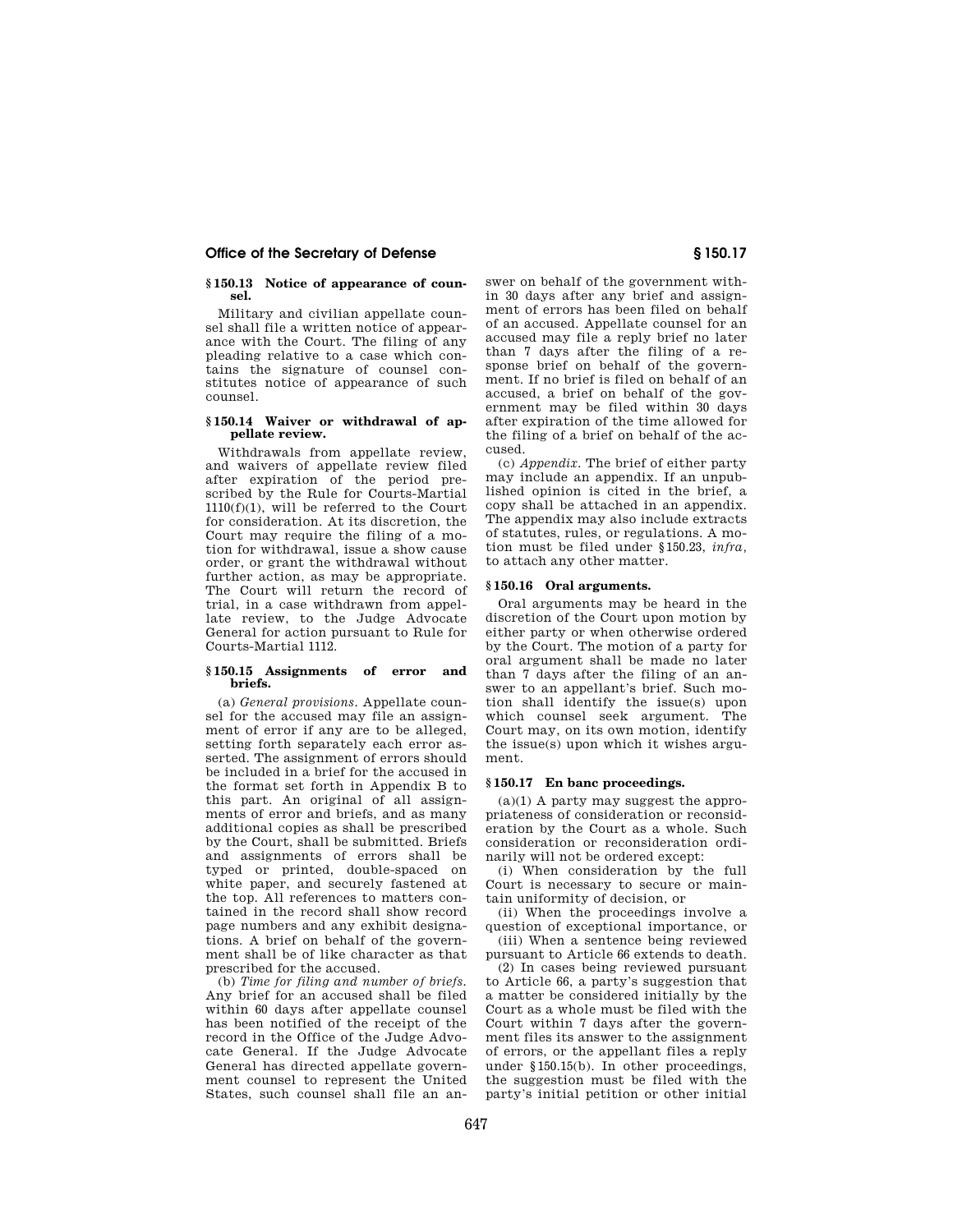# **Office of the Secretary of Defense § 150.17**

# **§ 150.13 Notice of appearance of counsel.**

Military and civilian appellate counsel shall file a written notice of appearance with the Court. The filing of any pleading relative to a case which contains the signature of counsel constitutes notice of appearance of such counsel.

# **§ 150.14 Waiver or withdrawal of appellate review.**

Withdrawals from appellate review, and waivers of appellate review filed after expiration of the period prescribed by the Rule for Courts-Martial  $1110(f)(1)$ , will be referred to the Court for consideration. At its discretion, the Court may require the filing of a motion for withdrawal, issue a show cause order, or grant the withdrawal without further action, as may be appropriate. The Court will return the record of trial, in a case withdrawn from appellate review, to the Judge Advocate General for action pursuant to Rule for Courts-Martial 1112.

# **§ 150.15 Assignments of error and briefs.**

(a) *General provisions.* Appellate counsel for the accused may file an assignment of error if any are to be alleged, setting forth separately each error asserted. The assignment of errors should be included in a brief for the accused in the format set forth in Appendix B to this part. An original of all assignments of error and briefs, and as many additional copies as shall be prescribed by the Court, shall be submitted. Briefs and assignments of errors shall be typed or printed, double-spaced on white paper, and securely fastened at the top. All references to matters contained in the record shall show record page numbers and any exhibit designations. A brief on behalf of the government shall be of like character as that prescribed for the accused.

(b) *Time for filing and number of briefs.*  Any brief for an accused shall be filed within 60 days after appellate counsel has been notified of the receipt of the record in the Office of the Judge Advocate General. If the Judge Advocate General has directed appellate government counsel to represent the United States, such counsel shall file an answer on behalf of the government within 30 days after any brief and assignment of errors has been filed on behalf of an accused. Appellate counsel for an accused may file a reply brief no later than 7 days after the filing of a response brief on behalf of the government. If no brief is filed on behalf of an accused, a brief on behalf of the government may be filed within 30 days after expiration of the time allowed for the filing of a brief on behalf of the accused.

(c) *Appendix.* The brief of either party may include an appendix. If an unpublished opinion is cited in the brief, a copy shall be attached in an appendix. The appendix may also include extracts of statutes, rules, or regulations. A motion must be filed under §150.23, *infra,*  to attach any other matter.

## **§ 150.16 Oral arguments.**

Oral arguments may be heard in the discretion of the Court upon motion by either party or when otherwise ordered by the Court. The motion of a party for oral argument shall be made no later than 7 days after the filing of an answer to an appellant's brief. Such motion shall identify the issue(s) upon which counsel seek argument. The Court may, on its own motion, identify the issue(s) upon which it wishes argument.

#### **§ 150.17 En banc proceedings.**

 $(a)(1)$  A party may suggest the appropriateness of consideration or reconsideration by the Court as a whole. Such consideration or reconsideration ordinarily will not be ordered except:

(i) When consideration by the full Court is necessary to secure or maintain uniformity of decision, or

(ii) When the proceedings involve a question of exceptional importance, or (iii) When a sentence being reviewed

pursuant to Article 66 extends to death.

(2) In cases being reviewed pursuant to Article 66, a party's suggestion that a matter be considered initially by the Court as a whole must be filed with the Court within 7 days after the government files its answer to the assignment of errors, or the appellant files a reply under §150.15(b). In other proceedings, the suggestion must be filed with the party's initial petition or other initial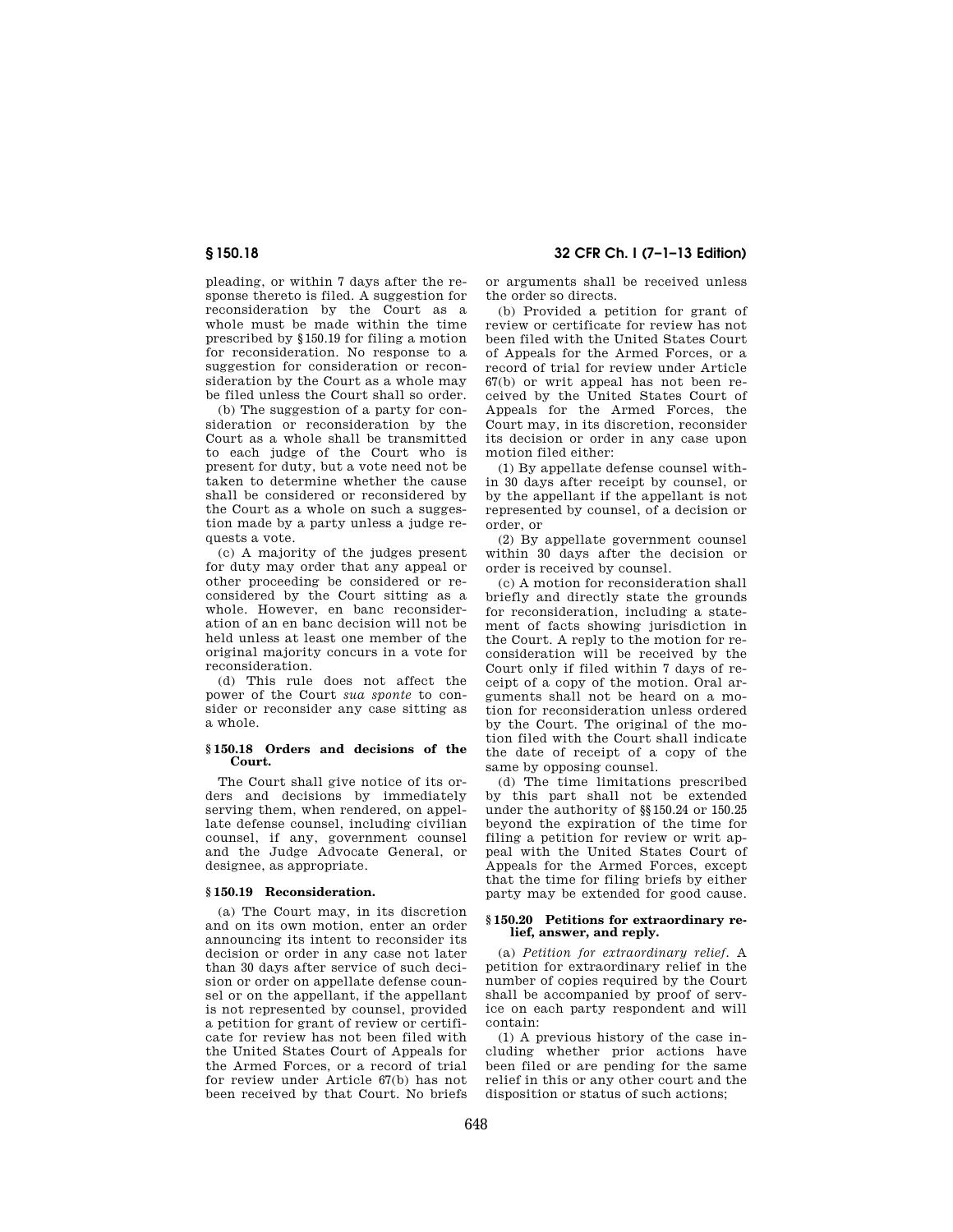pleading, or within 7 days after the response thereto is filed. A suggestion for reconsideration by the Court as a whole must be made within the time prescribed by §150.19 for filing a motion for reconsideration. No response to a suggestion for consideration or reconsideration by the Court as a whole may be filed unless the Court shall so order.

(b) The suggestion of a party for consideration or reconsideration by the Court as a whole shall be transmitted to each judge of the Court who is present for duty, but a vote need not be taken to determine whether the cause shall be considered or reconsidered by the Court as a whole on such a suggestion made by a party unless a judge requests a vote.

(c) A majority of the judges present for duty may order that any appeal or other proceeding be considered or reconsidered by the Court sitting as a whole. However, en banc reconsideration of an en banc decision will not be held unless at least one member of the original majority concurs in a vote for reconsideration.

(d) This rule does not affect the power of the Court *sua sponte* to consider or reconsider any case sitting as a whole.

# **§ 150.18 Orders and decisions of the Court.**

The Court shall give notice of its orders and decisions by immediately serving them, when rendered, on appellate defense counsel, including civilian counsel, if any, government counsel and the Judge Advocate General, or designee, as appropriate.

# **§ 150.19 Reconsideration.**

(a) The Court may, in its discretion and on its own motion, enter an order announcing its intent to reconsider its decision or order in any case not later than 30 days after service of such decision or order on appellate defense counsel or on the appellant, if the appellant is not represented by counsel, provided a petition for grant of review or certificate for review has not been filed with the United States Court of Appeals for the Armed Forces, or a record of trial for review under Article 67(b) has not been received by that Court. No briefs

**§ 150.18 32 CFR Ch. I (7–1–13 Edition)** 

or arguments shall be received unless the order so directs.

(b) Provided a petition for grant of review or certificate for review has not been filed with the United States Court of Appeals for the Armed Forces, or a record of trial for review under Article 67(b) or writ appeal has not been received by the United States Court of Appeals for the Armed Forces, the Court may, in its discretion, reconsider its decision or order in any case upon motion filed either:

(1) By appellate defense counsel within 30 days after receipt by counsel, or by the appellant if the appellant is not represented by counsel, of a decision or order, or

(2) By appellate government counsel within 30 days after the decision or order is received by counsel.

(c) A motion for reconsideration shall briefly and directly state the grounds for reconsideration, including a statement of facts showing jurisdiction in the Court. A reply to the motion for reconsideration will be received by the Court only if filed within 7 days of receipt of a copy of the motion. Oral arguments shall not be heard on a motion for reconsideration unless ordered by the Court. The original of the motion filed with the Court shall indicate the date of receipt of a copy of the same by opposing counsel.

(d) The time limitations prescribed by this part shall not be extended under the authority of §§150.24 or 150.25 beyond the expiration of the time for filing a petition for review or writ appeal with the United States Court of Appeals for the Armed Forces, except that the time for filing briefs by either party may be extended for good cause.

#### **§ 150.20 Petitions for extraordinary relief, answer, and reply.**

(a) *Petition for extraordinary relief.* A petition for extraordinary relief in the number of copies required by the Court shall be accompanied by proof of service on each party respondent and will contain:

(1) A previous history of the case including whether prior actions have been filed or are pending for the same relief in this or any other court and the disposition or status of such actions;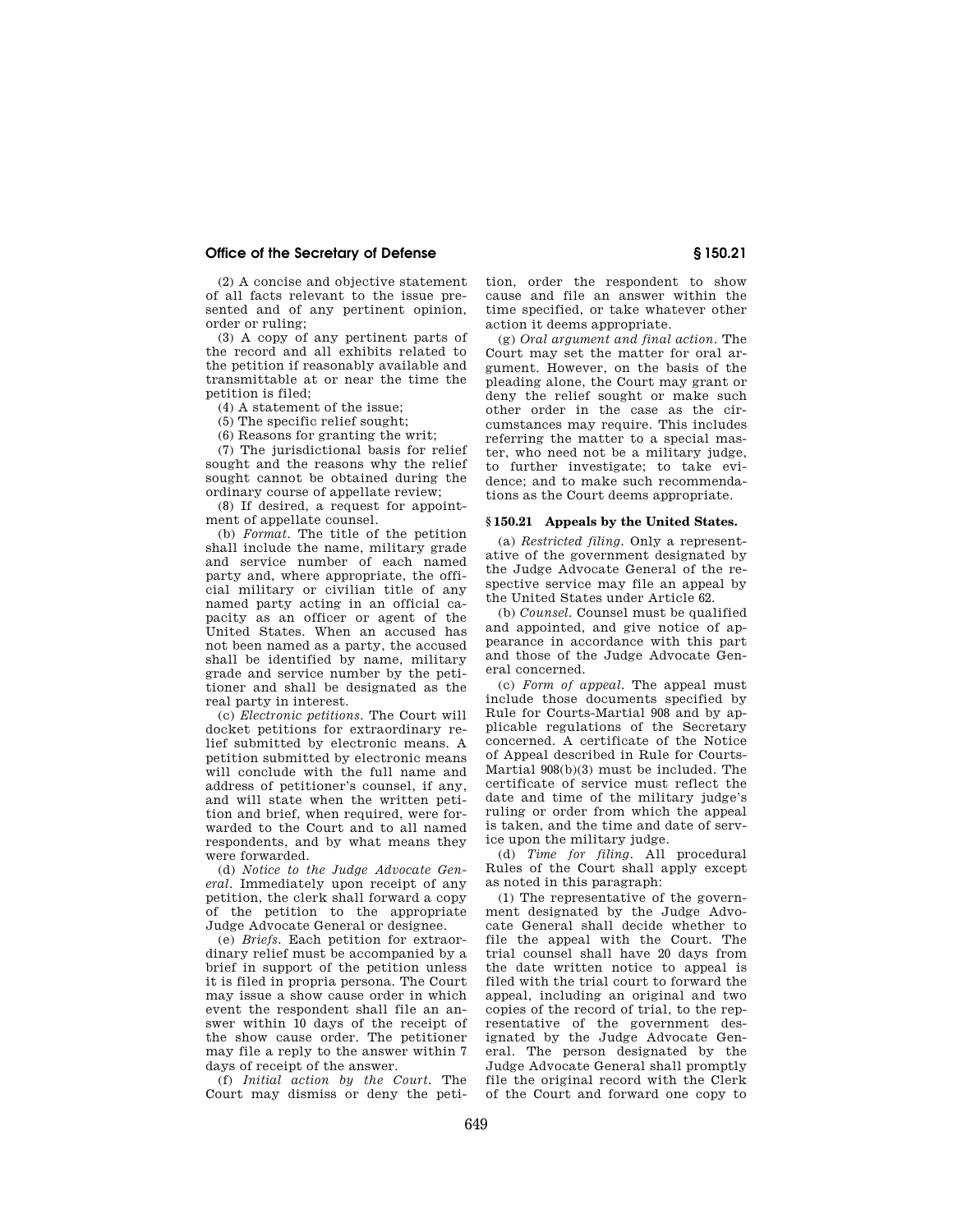# **Office of the Secretary of Defense § 150.21**

(2) A concise and objective statement of all facts relevant to the issue presented and of any pertinent opinion, order or ruling;

(3) A copy of any pertinent parts of the record and all exhibits related to the petition if reasonably available and transmittable at or near the time the petition is filed;

(4) A statement of the issue;

(5) The specific relief sought;

(6) Reasons for granting the writ;

(7) The jurisdictional basis for relief sought and the reasons why the relief sought cannot be obtained during the ordinary course of appellate review;

(8) If desired, a request for appointment of appellate counsel.

(b) *Format.* The title of the petition shall include the name, military grade and service number of each named party and, where appropriate, the official military or civilian title of any named party acting in an official capacity as an officer or agent of the United States. When an accused has not been named as a party, the accused shall be identified by name, military grade and service number by the petitioner and shall be designated as the real party in interest.

(c) *Electronic petitions.* The Court will docket petitions for extraordinary relief submitted by electronic means. A petition submitted by electronic means will conclude with the full name and address of petitioner's counsel, if any, and will state when the written petition and brief, when required, were forwarded to the Court and to all named respondents, and by what means they were forwarded.

(d) *Notice to the Judge Advocate General.* Immediately upon receipt of any petition, the clerk shall forward a copy of the petition to the appropriate Judge Advocate General or designee.

(e) *Briefs.* Each petition for extraordinary relief must be accompanied by a brief in support of the petition unless it is filed in propria persona. The Court may issue a show cause order in which event the respondent shall file an answer within 10 days of the receipt of the show cause order. The petitioner may file a reply to the answer within 7 days of receipt of the answer.

(f) *Initial action by the Court.* The Court may dismiss or deny the petition, order the respondent to show cause and file an answer within the time specified, or take whatever other action it deems appropriate.

(g) *Oral argument and final action.* The Court may set the matter for oral argument. However, on the basis of the pleading alone, the Court may grant or deny the relief sought or make such other order in the case as the circumstances may require. This includes referring the matter to a special master, who need not be a military judge, to further investigate; to take evidence; and to make such recommendations as the Court deems appropriate.

# **§ 150.21 Appeals by the United States.**

(a) *Restricted filing.* Only a representative of the government designated by the Judge Advocate General of the respective service may file an appeal by the United States under Article 62.

(b) *Counsel.* Counsel must be qualified and appointed, and give notice of appearance in accordance with this part and those of the Judge Advocate General concerned.

(c) *Form of appeal.* The appeal must include those documents specified by Rule for Courts-Martial 908 and by applicable regulations of the Secretary concerned. A certificate of the Notice of Appeal described in Rule for Courts-Martial 908(b)(3) must be included. The certificate of service must reflect the date and time of the military judge's ruling or order from which the appeal is taken, and the time and date of service upon the military judge.

(d) *Time for filing.* All procedural Rules of the Court shall apply except as noted in this paragraph:

(1) The representative of the government designated by the Judge Advocate General shall decide whether to file the appeal with the Court. The trial counsel shall have 20 days from the date written notice to appeal is filed with the trial court to forward the appeal, including an original and two copies of the record of trial, to the representative of the government designated by the Judge Advocate General. The person designated by the Judge Advocate General shall promptly file the original record with the Clerk of the Court and forward one copy to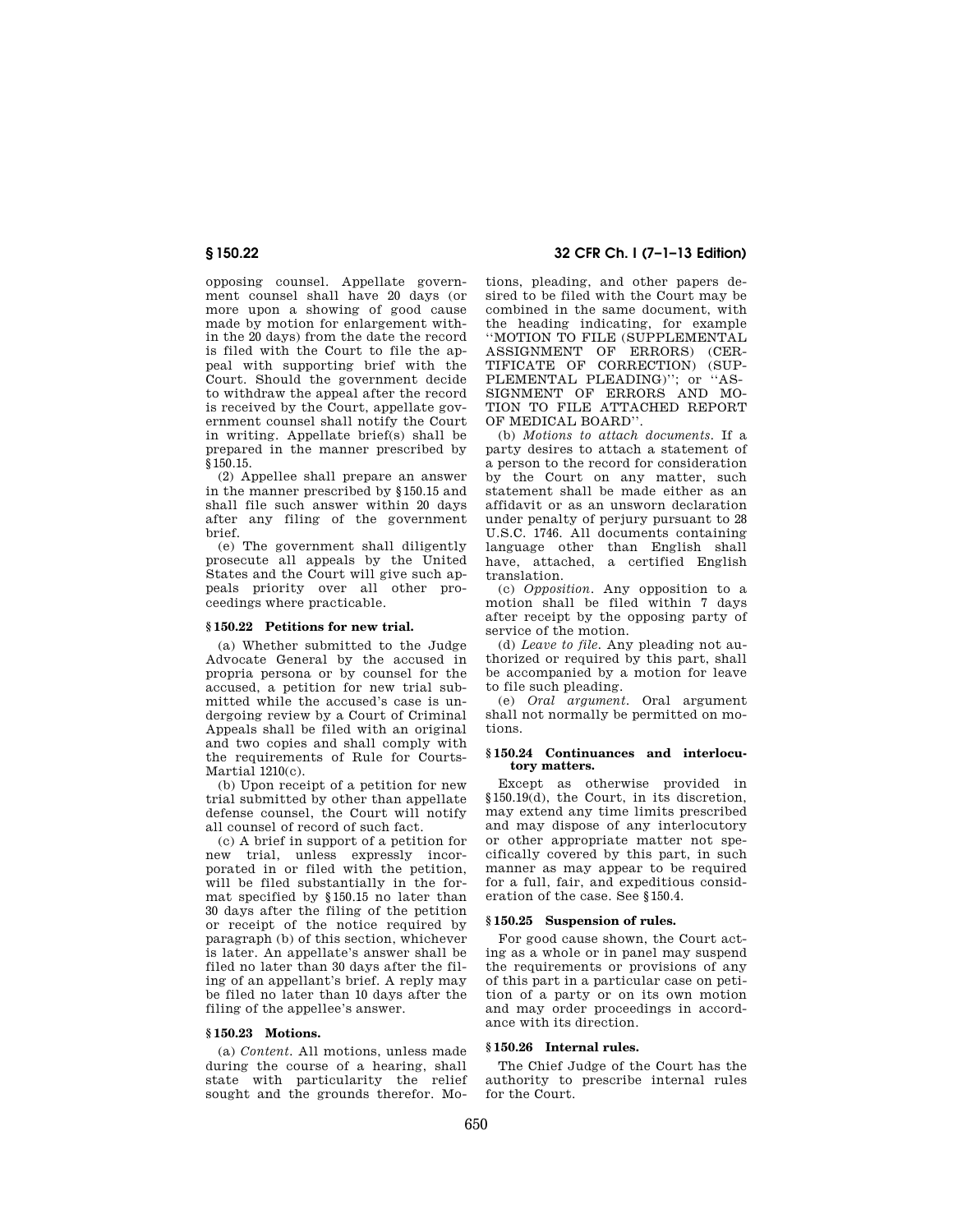opposing counsel. Appellate government counsel shall have 20 days (or more upon a showing of good cause made by motion for enlargement within the 20 days) from the date the record is filed with the Court to file the appeal with supporting brief with the Court. Should the government decide to withdraw the appeal after the record is received by the Court, appellate government counsel shall notify the Court in writing. Appellate brief(s) shall be prepared in the manner prescribed by §150.15.

(2) Appellee shall prepare an answer in the manner prescribed by §150.15 and shall file such answer within 20 days after any filing of the government brief.

(e) The government shall diligently prosecute all appeals by the United States and the Court will give such appeals priority over all other proceedings where practicable.

# **§ 150.22 Petitions for new trial.**

(a) Whether submitted to the Judge Advocate General by the accused in propria persona or by counsel for the accused, a petition for new trial submitted while the accused's case is undergoing review by a Court of Criminal Appeals shall be filed with an original and two copies and shall comply with the requirements of Rule for Courts-Martial 1210(c).

(b) Upon receipt of a petition for new trial submitted by other than appellate defense counsel, the Court will notify all counsel of record of such fact.

(c) A brief in support of a petition for new trial, unless expressly incorporated in or filed with the petition, will be filed substantially in the format specified by §150.15 no later than 30 days after the filing of the petition or receipt of the notice required by paragraph (b) of this section, whichever is later. An appellate's answer shall be filed no later than 30 days after the filing of an appellant's brief. A reply may be filed no later than 10 days after the filing of the appellee's answer.

# **§ 150.23 Motions.**

(a) *Content.* All motions, unless made during the course of a hearing, shall state with particularity the relief sought and the grounds therefor. Mo-

# **§ 150.22 32 CFR Ch. I (7–1–13 Edition)**

tions, pleading, and other papers desired to be filed with the Court may be combined in the same document, with the heading indicating, for example ''MOTION TO FILE (SUPPLEMENTAL ASSIGNMENT OF ERRORS) (CER-TIFICATE OF CORRECTION) (SUP-PLEMENTAL PLEADING)"; or "AS-SIGNMENT OF ERRORS AND MO-TION TO FILE ATTACHED REPORT OF MEDICAL BOARD''.

(b) *Motions to attach documents.* If a party desires to attach a statement of a person to the record for consideration by the Court on any matter, such statement shall be made either as an affidavit or as an unsworn declaration under penalty of perjury pursuant to 28 U.S.C. 1746. All documents containing language other than English shall have, attached, a certified English translation.

(c) *Opposition.* Any opposition to a motion shall be filed within 7 days after receipt by the opposing party of service of the motion.

(d) *Leave to file.* Any pleading not authorized or required by this part, shall be accompanied by a motion for leave to file such pleading.

(e) *Oral argument.* Oral argument shall not normally be permitted on motions.

# **§ 150.24 Continuances and interlocutory matters.**

Except as otherwise provided in §150.19(d), the Court, in its discretion, may extend any time limits prescribed and may dispose of any interlocutory or other appropriate matter not specifically covered by this part, in such manner as may appear to be required for a full, fair, and expeditious consideration of the case. See §150.4.

# **§ 150.25 Suspension of rules.**

For good cause shown, the Court acting as a whole or in panel may suspend the requirements or provisions of any of this part in a particular case on petition of a party or on its own motion and may order proceedings in accordance with its direction.

#### **§ 150.26 Internal rules.**

The Chief Judge of the Court has the authority to prescribe internal rules for the Court.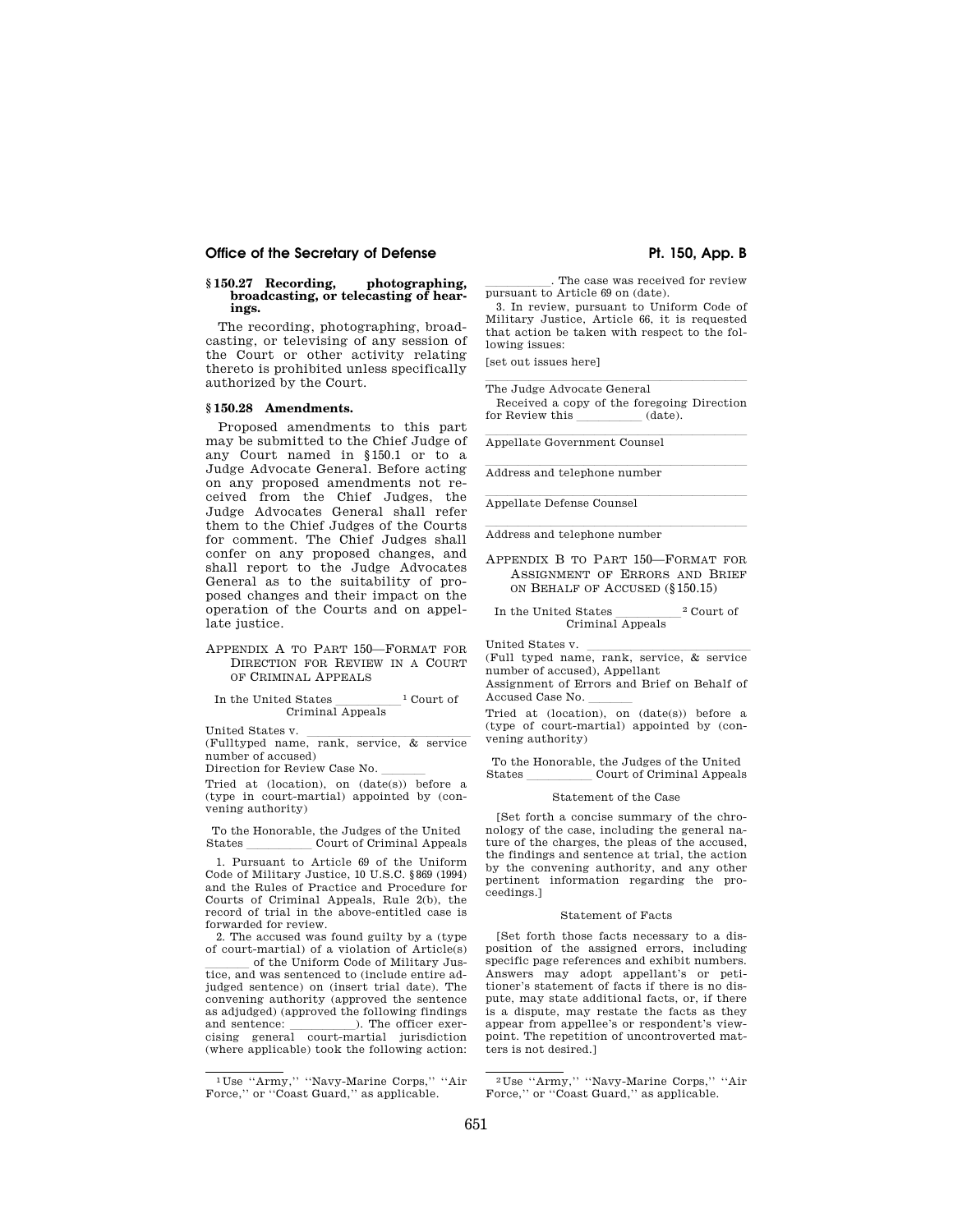# Office of the Secretary of Defense **Philopherane Pt. 150, App. B**

# **§ 150.27 Recording, photographing, broadcasting, or telecasting of hearings.**

The recording, photographing, broadcasting, or televising of any session of the Court or other activity relating thereto is prohibited unless specifically authorized by the Court.

#### **§ 150.28 Amendments.**

Proposed amendments to this part may be submitted to the Chief Judge of any Court named in §150.1 or to a Judge Advocate General. Before acting on any proposed amendments not received from the Chief Judges, the Judge Advocates General shall refer them to the Chief Judges of the Courts for comment. The Chief Judges shall confer on any proposed changes, and shall report to the Judge Advocates General as to the suitability of proposed changes and their impact on the operation of the Courts and on appellate justice.

# APPENDIX A TO PART 150—FORMAT FOR DIRECTION FOR REVIEW IN A COURT OF CRIMINAL APPEALS

# In the United States  $\frac{1}{\text{Cerimal Appeals}}$ <sup>1</sup> Court of

United States v. lllllllllllllll (Fulltyped name, rank, service, & service number of accused)

Direction for Review Case No.

Tried at (location), on (date(s)) before a (type in court-martial) appointed by (convening authority)

To the Honorable, the Judges of the United Court of Criminal Appeals

1. Pursuant to Article 69 of the Uniform Code of Military Justice, 10 U.S.C. §869 (1994) and the Rules of Practice and Procedure for Courts of Criminal Appeals, Rule 2(b), the record of trial in the above-entitled case is forwarded for review.

2. The accused was found guilty by a (type of court-martial) of a violation of Article(s)

llll of the Uniform Code of Military Jus-tice, and was sentenced to (include entire adjudged sentence) on (insert trial date). The convening authority (approved the sentence as adjudged) (approved the following findings and sentence: llllll). The officer exer-cising general court-martial jurisdiction (where applicable) took the following action:

. The case was received for review pursuant to Article 69 on (date).

3. In review, pursuant to Uniform Code of Military Justice, Article 66, it is requested that action be taken with respect to the following issues:

[set out issues here]

The Judge Advocate General Received a copy of the foregoing Direction<br>or Review this (date). for Review this

Appellate Government Counsel

Address and telephone number

Appellate Defense Counsel

Address and telephone number

APPENDIX B TO PART 150—FORMAT FOR ASSIGNMENT OF ERRORS AND BRIEF ON BEHALF OF ACCUSED (§150.15)

In the United States 2 Court of Criminal Appeals

United States v. <u>Julie of the States v. and States v. and States v. and States v. and States and States v. and States v. and States v. and States v. and States v. and States v. and States v. and States v. and States v. an</u> number of accused), Appellant

Assignment of Errors and Brief on Behalf of Accused Case No.

Tried at (location), on (date(s)) before a (type of court-martial) appointed by (convening authority)

To the Honorable, the Judges of the United States **Court of Criminal Appeals** 

#### Statement of the Case

[Set forth a concise summary of the chronology of the case, including the general nature of the charges, the pleas of the accused, the findings and sentence at trial, the action by the convening authority, and any other pertinent information regarding the proceedings.]

#### Statement of Facts

[Set forth those facts necessary to a disposition of the assigned errors, including specific page references and exhibit numbers. Answers may adopt appellant's or petitioner's statement of facts if there is no dispute, may state additional facts, or, if there is a dispute, may restate the facts as they appear from appellee's or respondent's viewpoint. The repetition of uncontroverted matters is not desired.]

<sup>1</sup> Use ''Army,'' ''Navy-Marine Corps,'' ''Air Force," or "Coast Guard," as applicable.

<sup>2</sup> Use ''Army,'' ''Navy-Marine Corps,'' ''Air Force," or "Coast Guard," as applicable.